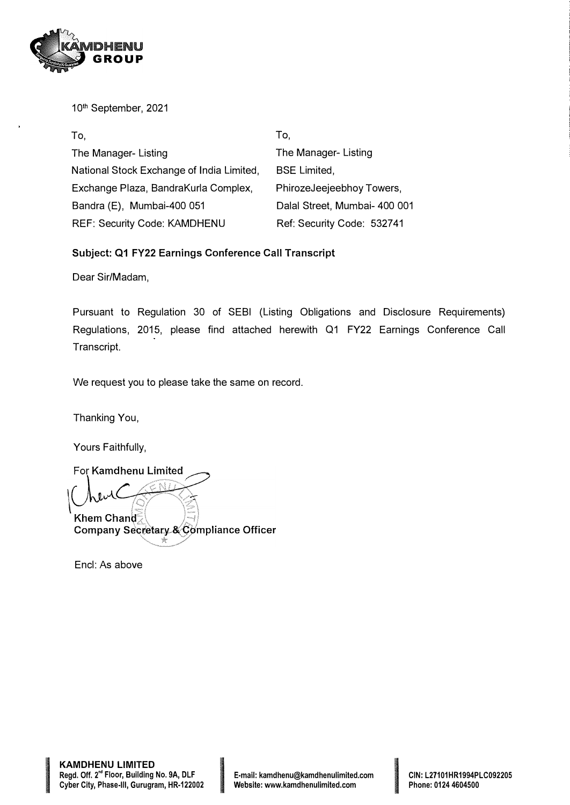

10th September, 2021

| To,                                       | To.                           |
|-------------------------------------------|-------------------------------|
| The Manager- Listing                      | The Manager- Listing          |
| National Stock Exchange of India Limited, | <b>BSE Limited,</b>           |
| Exchange Plaza, BandraKurla Complex,      | PhirozeJeejeebhoy Towers,     |
| Bandra (E), Mumbai-400 051                | Dalal Street, Mumbai- 400 001 |
| <b>REF: Security Code: KAMDHENU</b>       | Ref: Security Code: 532741    |

### **Subject: Q1 FY22 Earnings Conference Call Transcript**

Dear Sir/Madam,

Pursuant to Regulation 30 of SEBI (Listing Obligations and Disclosure Requirements) Regulations, 2015, please find attached herewith Q1 FY22 Earnings Conference Call Transcript.

We request you to please take the same on record.

Thanking You,

Yours Faithfully,

For Kamdhenu Limited Khem Chand Company Secretary & Compliance Officer

Encl: As above

**In the company's company's company's**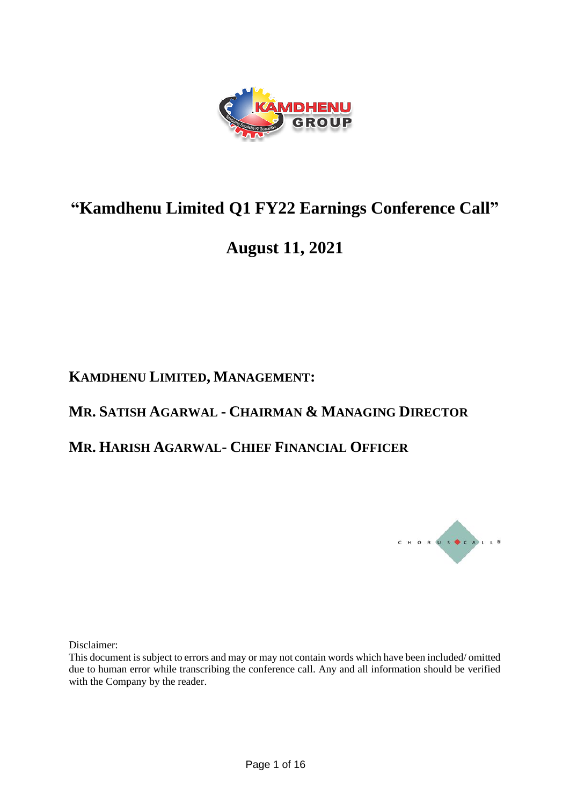

# **"Kamdhenu Limited Q1 FY22 Earnings Conference Call"**

# **August 11, 2021**

## **KAMDHENU LIMITED, MANAGEMENT:**

### **MR. SATISH AGARWAL - CHAIRMAN & MANAGING DIRECTOR**

### **MR. HARISH AGARWAL- CHIEF FINANCIAL OFFICER**



Disclaimer:

This document is subject to errors and may or may not contain words which have been included/ omitted due to human error while transcribing the conference call. Any and all information should be verified with the Company by the reader.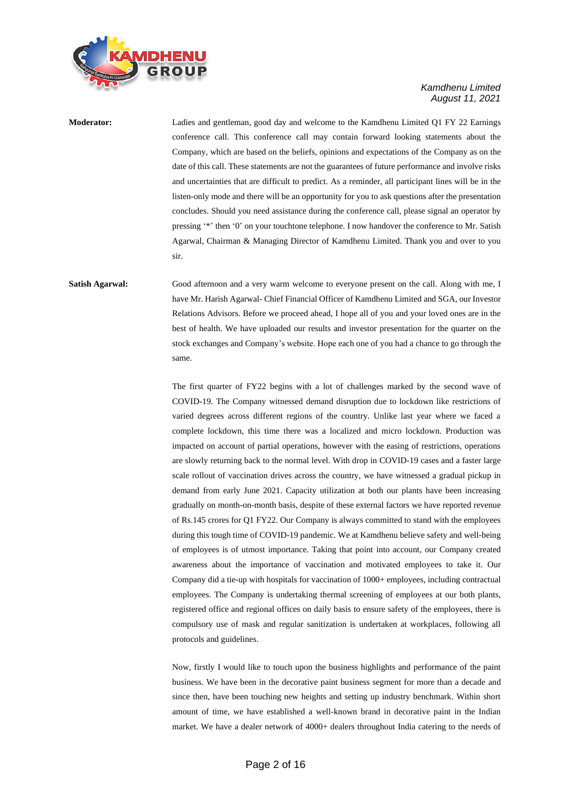

**Moderator:** Ladies and gentleman, good day and welcome to the Kamdhenu Limited Q1 FY 22 Earnings conference call. This conference call may contain forward looking statements about the Company, which are based on the beliefs, opinions and expectations of the Company as on the date of this call. These statements are not the guarantees of future performance and involve risks and uncertainties that are difficult to predict. As a reminder, all participant lines will be in the listen-only mode and there will be an opportunity for you to ask questions after the presentation concludes. Should you need assistance during the conference call, please signal an operator by pressing '\*' then '0' on your touchtone telephone. I now handover the conference to Mr. Satish Agarwal, Chairman & Managing Director of Kamdhenu Limited. Thank you and over to you sir.

**Satish Agarwal:** Good afternoon and a very warm welcome to everyone present on the call. Along with me, I have Mr. Harish Agarwal- Chief Financial Officer of Kamdhenu Limited and SGA, our Investor Relations Advisors. Before we proceed ahead, I hope all of you and your loved ones are in the best of health. We have uploaded our results and investor presentation for the quarter on the stock exchanges and Company's website. Hope each one of you had a chance to go through the same.

> The first quarter of FY22 begins with a lot of challenges marked by the second wave of COVID-19. The Company witnessed demand disruption due to lockdown like restrictions of varied degrees across different regions of the country. Unlike last year where we faced a complete lockdown, this time there was a localized and micro lockdown. Production was impacted on account of partial operations, however with the easing of restrictions, operations are slowly returning back to the normal level. With drop in COVID-19 cases and a faster large scale rollout of vaccination drives across the country, we have witnessed a gradual pickup in demand from early June 2021. Capacity utilization at both our plants have been increasing gradually on month-on-month basis, despite of these external factors we have reported revenue of Rs.145 crores for Q1 FY22. Our Company is always committed to stand with the employees during this tough time of COVID-19 pandemic. We at Kamdhenu believe safety and well-being of employees is of utmost importance. Taking that point into account, our Company created awareness about the importance of vaccination and motivated employees to take it. Our Company did a tie-up with hospitals for vaccination of 1000+ employees, including contractual employees. The Company is undertaking thermal screening of employees at our both plants, registered office and regional offices on daily basis to ensure safety of the employees, there is compulsory use of mask and regular sanitization is undertaken at workplaces, following all protocols and guidelines.

> Now, firstly I would like to touch upon the business highlights and performance of the paint business. We have been in the decorative paint business segment for more than a decade and since then, have been touching new heights and setting up industry benchmark. Within short amount of time, we have established a well-known brand in decorative paint in the Indian market. We have a dealer network of 4000+ dealers throughout India catering to the needs of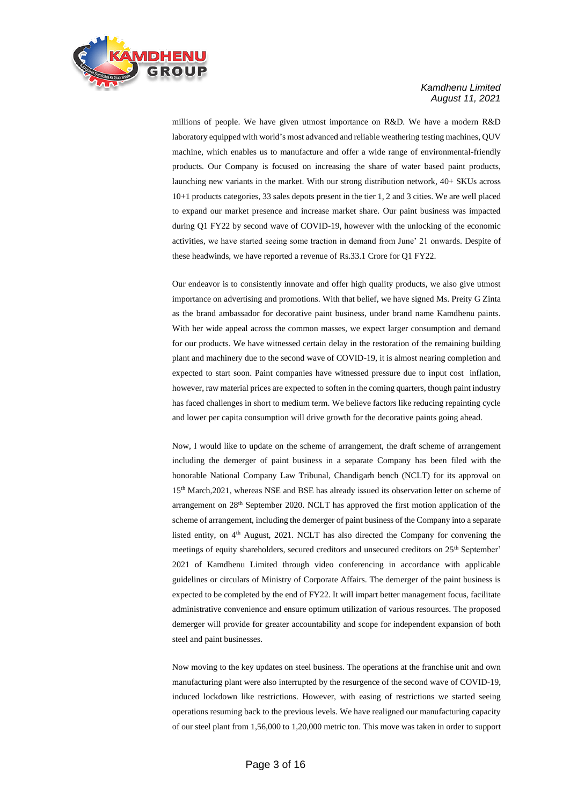

millions of people. We have given utmost importance on R&D. We have a modern R&D laboratory equipped with world's most advanced and reliable weathering testing machines, QUV machine, which enables us to manufacture and offer a wide range of environmental-friendly products. Our Company is focused on increasing the share of water based paint products, launching new variants in the market. With our strong distribution network, 40+ SKUs across 10+1 products categories, 33 sales depots present in the tier 1, 2 and 3 cities. We are well placed to expand our market presence and increase market share. Our paint business was impacted during Q1 FY22 by second wave of COVID-19, however with the unlocking of the economic activities, we have started seeing some traction in demand from June' 21 onwards. Despite of these headwinds, we have reported a revenue of Rs.33.1 Crore for Q1 FY22.

Our endeavor is to consistently innovate and offer high quality products, we also give utmost importance on advertising and promotions. With that belief, we have signed Ms. Preity G Zinta as the brand ambassador for decorative paint business, under brand name Kamdhenu paints. With her wide appeal across the common masses, we expect larger consumption and demand for our products. We have witnessed certain delay in the restoration of the remaining building plant and machinery due to the second wave of COVID-19, it is almost nearing completion and expected to start soon. Paint companies have witnessed pressure due to input cost inflation, however, raw material prices are expected to soften in the coming quarters, though paint industry has faced challenges in short to medium term. We believe factors like reducing repainting cycle and lower per capita consumption will drive growth for the decorative paints going ahead.

Now, I would like to update on the scheme of arrangement, the draft scheme of arrangement including the demerger of paint business in a separate Company has been filed with the honorable National Company Law Tribunal, Chandigarh bench (NCLT) for its approval on 15th March,2021, whereas NSE and BSE has already issued its observation letter on scheme of arrangement on 28th September 2020. NCLT has approved the first motion application of the scheme of arrangement, including the demerger of paint business of the Company into a separate listed entity, on 4<sup>th</sup> August, 2021. NCLT has also directed the Company for convening the meetings of equity shareholders, secured creditors and unsecured creditors on 25th September' 2021 of Kamdhenu Limited through video conferencing in accordance with applicable guidelines or circulars of Ministry of Corporate Affairs. The demerger of the paint business is expected to be completed by the end of FY22. It will impart better management focus, facilitate administrative convenience and ensure optimum utilization of various resources. The proposed demerger will provide for greater accountability and scope for independent expansion of both steel and paint businesses.

Now moving to the key updates on steel business. The operations at the franchise unit and own manufacturing plant were also interrupted by the resurgence of the second wave of COVID-19, induced lockdown like restrictions. However, with easing of restrictions we started seeing operations resuming back to the previous levels. We have realigned our manufacturing capacity of our steel plant from 1,56,000 to 1,20,000 metric ton. This move was taken in order to support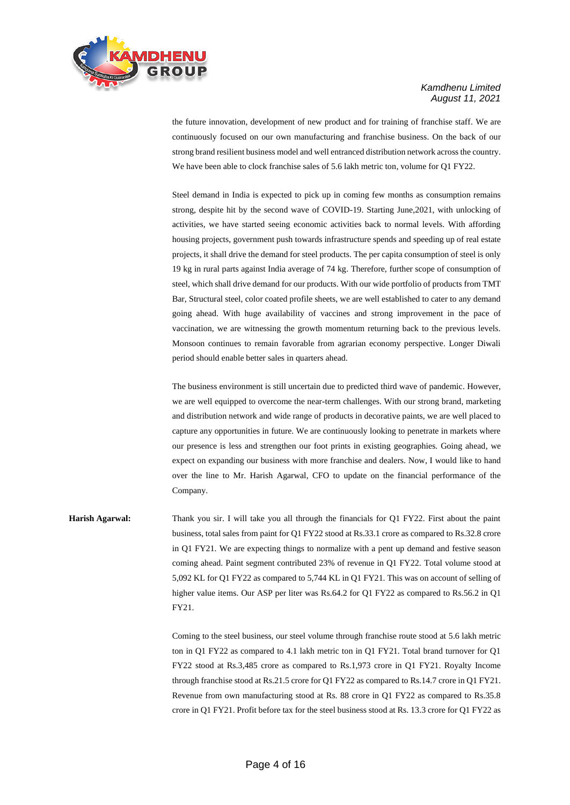

the future innovation, development of new product and for training of franchise staff. We are continuously focused on our own manufacturing and franchise business. On the back of our strong brand resilient business model and well entranced distribution network across the country. We have been able to clock franchise sales of 5.6 lakh metric ton, volume for Q1 FY22.

Steel demand in India is expected to pick up in coming few months as consumption remains strong, despite hit by the second wave of COVID-19. Starting June,2021, with unlocking of activities, we have started seeing economic activities back to normal levels. With affording housing projects, government push towards infrastructure spends and speeding up of real estate projects, it shall drive the demand for steel products. The per capita consumption of steel is only 19 kg in rural parts against India average of 74 kg. Therefore, further scope of consumption of steel, which shall drive demand for our products. With our wide portfolio of products from TMT Bar, Structural steel, color coated profile sheets, we are well established to cater to any demand going ahead. With huge availability of vaccines and strong improvement in the pace of vaccination, we are witnessing the growth momentum returning back to the previous levels. Monsoon continues to remain favorable from agrarian economy perspective. Longer Diwali period should enable better sales in quarters ahead.

The business environment is still uncertain due to predicted third wave of pandemic. However, we are well equipped to overcome the near-term challenges. With our strong brand, marketing and distribution network and wide range of products in decorative paints, we are well placed to capture any opportunities in future. We are continuously looking to penetrate in markets where our presence is less and strengthen our foot prints in existing geographies. Going ahead, we expect on expanding our business with more franchise and dealers. Now, I would like to hand over the line to Mr. Harish Agarwal, CFO to update on the financial performance of the Company.

**Harish Agarwal:** Thank you sir. I will take you all through the financials for Q1 FY22. First about the paint business, total sales from paint for Q1 FY22 stood at Rs.33.1 crore as compared to Rs.32.8 crore in Q1 FY21. We are expecting things to normalize with a pent up demand and festive season coming ahead. Paint segment contributed 23% of revenue in Q1 FY22. Total volume stood at 5,092 KL for Q1 FY22 as compared to 5,744 KL in Q1 FY21. This was on account of selling of higher value items. Our ASP per liter was Rs.64.2 for O1 FY22 as compared to Rs.56.2 in O1 FY21.

> Coming to the steel business, our steel volume through franchise route stood at 5.6 lakh metric ton in Q1 FY22 as compared to 4.1 lakh metric ton in Q1 FY21. Total brand turnover for Q1 FY22 stood at Rs.3,485 crore as compared to Rs.1,973 crore in Q1 FY21. Royalty Income through franchise stood at Rs.21.5 crore for Q1 FY22 as compared to Rs.14.7 crore in Q1 FY21. Revenue from own manufacturing stood at Rs. 88 crore in Q1 FY22 as compared to Rs.35.8 crore in Q1 FY21. Profit before tax for the steel business stood at Rs. 13.3 crore for Q1 FY22 as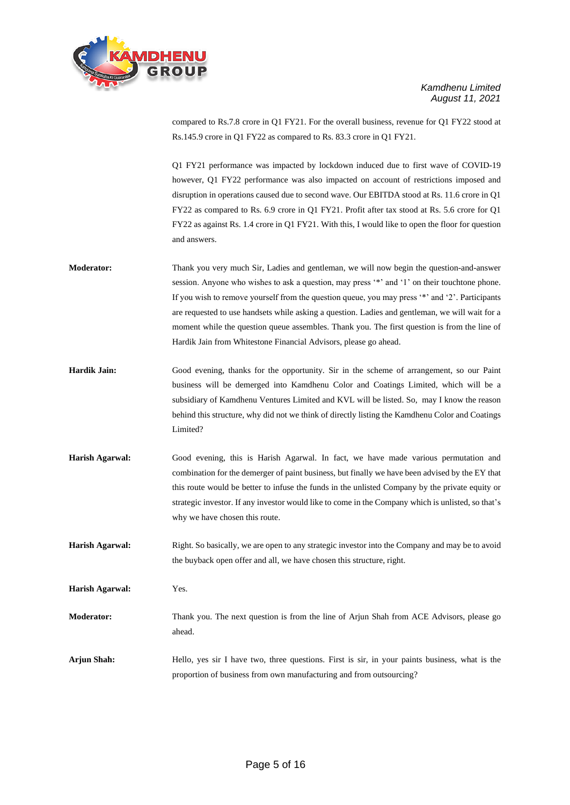

compared to Rs.7.8 crore in Q1 FY21. For the overall business, revenue for Q1 FY22 stood at Rs.145.9 crore in Q1 FY22 as compared to Rs. 83.3 crore in Q1 FY21.

Q1 FY21 performance was impacted by lockdown induced due to first wave of COVID-19 however, Q1 FY22 performance was also impacted on account of restrictions imposed and disruption in operations caused due to second wave. Our EBITDA stood at Rs. 11.6 crore in Q1 FY22 as compared to Rs. 6.9 crore in Q1 FY21. Profit after tax stood at Rs. 5.6 crore for Q1 FY22 as against Rs. 1.4 crore in Q1 FY21. With this, I would like to open the floor for question and answers.

- **Moderator:** Thank you very much Sir, Ladies and gentleman, we will now begin the question-and-answer session. Anyone who wishes to ask a question, may press '\*' and '1' on their touchtone phone. If you wish to remove yourself from the question queue, you may press '\*' and '2'. Participants are requested to use handsets while asking a question. Ladies and gentleman, we will wait for a moment while the question queue assembles. Thank you. The first question is from the line of Hardik Jain from Whitestone Financial Advisors, please go ahead.
- **Hardik Jain:** Good evening, thanks for the opportunity. Sir in the scheme of arrangement, so our Paint business will be demerged into Kamdhenu Color and Coatings Limited, which will be a subsidiary of Kamdhenu Ventures Limited and KVL will be listed. So, may I know the reason behind this structure, why did not we think of directly listing the Kamdhenu Color and Coatings Limited?
- **Harish Agarwal:** Good evening, this is Harish Agarwal. In fact, we have made various permutation and combination for the demerger of paint business, but finally we have been advised by the EY that this route would be better to infuse the funds in the unlisted Company by the private equity or strategic investor. If any investor would like to come in the Company which is unlisted, so that's why we have chosen this route.

**Harish Agarwal:** Right. So basically, we are open to any strategic investor into the Company and may be to avoid the buyback open offer and all, we have chosen this structure, right.

**Harish Agarwal:** Yes.

**Moderator:** Thank you. The next question is from the line of Arjun Shah from ACE Advisors, please go ahead.

**Arjun Shah:** Hello, yes sir I have two, three questions. First is sir, in your paints business, what is the proportion of business from own manufacturing and from outsourcing?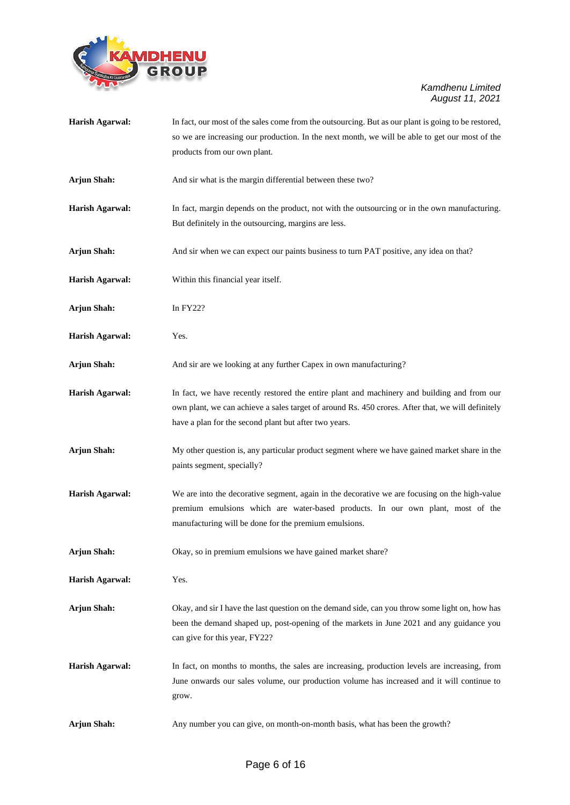

| <b>Harish Agarwal:</b> | In fact, our most of the sales come from the outsourcing. But as our plant is going to be restored,                                                        |
|------------------------|------------------------------------------------------------------------------------------------------------------------------------------------------------|
|                        | so we are increasing our production. In the next month, we will be able to get our most of the                                                             |
|                        | products from our own plant.                                                                                                                               |
| <b>Arjun Shah:</b>     | And sir what is the margin differential between these two?                                                                                                 |
| <b>Harish Agarwal:</b> | In fact, margin depends on the product, not with the outsourcing or in the own manufacturing.                                                              |
|                        | But definitely in the outsourcing, margins are less.                                                                                                       |
| <b>Arjun Shah:</b>     | And sir when we can expect our paints business to turn PAT positive, any idea on that?                                                                     |
| <b>Harish Agarwal:</b> | Within this financial year itself.                                                                                                                         |
| <b>Arjun Shah:</b>     | In $FY22?$                                                                                                                                                 |
| <b>Harish Agarwal:</b> | Yes.                                                                                                                                                       |
| <b>Arjun Shah:</b>     | And sir are we looking at any further Capex in own manufacturing?                                                                                          |
| <b>Harish Agarwal:</b> | In fact, we have recently restored the entire plant and machinery and building and from our                                                                |
|                        | own plant, we can achieve a sales target of around Rs. 450 crores. After that, we will definitely<br>have a plan for the second plant but after two years. |
| <b>Arjun Shah:</b>     | My other question is, any particular product segment where we have gained market share in the                                                              |
|                        | paints segment, specially?                                                                                                                                 |
| <b>Harish Agarwal:</b> | We are into the decorative segment, again in the decorative we are focusing on the high-value                                                              |
|                        | premium emulsions which are water-based products. In our own plant, most of the<br>manufacturing will be done for the premium emulsions.                   |
| <b>Arjun Shah:</b>     | Okay, so in premium emulsions we have gained market share?                                                                                                 |
| <b>Harish Agarwal:</b> | Yes.                                                                                                                                                       |
| <b>Arjun Shah:</b>     | Okay, and sir I have the last question on the demand side, can you throw some light on, how has                                                            |
|                        | been the demand shaped up, post-opening of the markets in June 2021 and any guidance you<br>can give for this year, FY22?                                  |
| <b>Harish Agarwal:</b> | In fact, on months to months, the sales are increasing, production levels are increasing, from                                                             |
|                        | June onwards our sales volume, our production volume has increased and it will continue to<br>grow.                                                        |
| <b>Arjun Shah:</b>     | Any number you can give, on month-on-month basis, what has been the growth?                                                                                |
|                        |                                                                                                                                                            |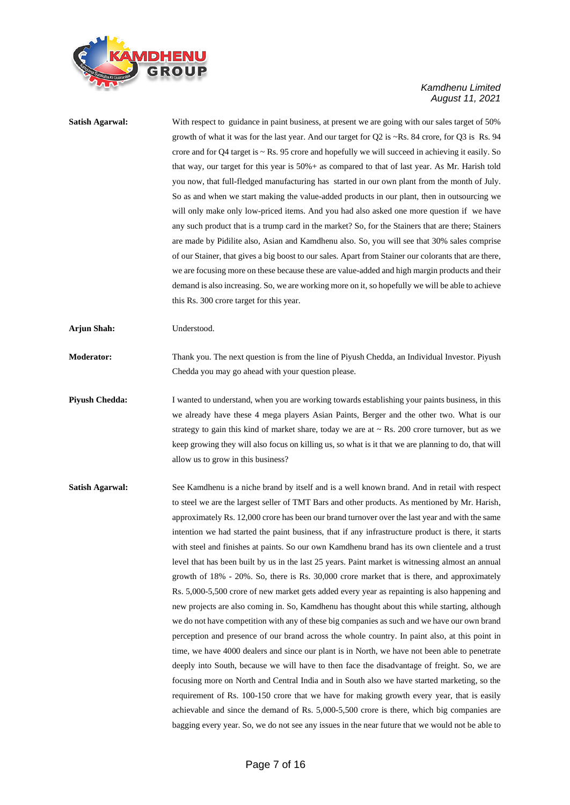

**Satish Agarwal:** With respect to guidance in paint business, at present we are going with our sales target of 50% growth of what it was for the last year. And our target for Q2 is ~Rs. 84 crore, for Q3 is Rs. 94 crore and for Q4 target is ~ Rs. 95 crore and hopefully we will succeed in achieving it easily. So that way, our target for this year is 50%+ as compared to that of last year. As Mr. Harish told you now, that full-fledged manufacturing has started in our own plant from the month of July. So as and when we start making the value-added products in our plant, then in outsourcing we will only make only low-priced items. And you had also asked one more question if we have any such product that is a trump card in the market? So, for the Stainers that are there; Stainers are made by Pidilite also, Asian and Kamdhenu also. So, you will see that 30% sales comprise of our Stainer, that gives a big boost to our sales. Apart from Stainer our colorants that are there, we are focusing more on these because these are value-added and high margin products and their demand is also increasing. So, we are working more on it, so hopefully we will be able to achieve this Rs. 300 crore target for this year. **Arjun Shah:** Understood. **Moderator:** Thank you. The next question is from the line of Piyush Chedda, an Individual Investor. Piyush Chedda you may go ahead with your question please. **Piyush Chedda:** I wanted to understand, when you are working towards establishing your paints business, in this we already have these 4 mega players Asian Paints, Berger and the other two. What is our strategy to gain this kind of market share, today we are at  $\sim$  Rs. 200 crore turnover, but as we keep growing they will also focus on killing us, so what is it that we are planning to do, that will allow us to grow in this business? **Satish Agarwal:** See Kamdhenu is a niche brand by itself and is a well known brand. And in retail with respect to steel we are the largest seller of TMT Bars and other products. As mentioned by Mr. Harish, approximately Rs. 12,000 crore has been our brand turnover over the last year and with the same intention we had started the paint business, that if any infrastructure product is there, it starts with steel and finishes at paints. So our own Kamdhenu brand has its own clientele and a trust level that has been built by us in the last 25 years. Paint market is witnessing almost an annual growth of 18% - 20%. So, there is Rs. 30,000 crore market that is there, and approximately Rs. 5,000-5,500 crore of new market gets added every year as repainting is also happening and new projects are also coming in. So, Kamdhenu has thought about this while starting, although we do not have competition with any of these big companies as such and we have our own brand perception and presence of our brand across the whole country. In paint also, at this point in

time, we have 4000 dealers and since our plant is in North, we have not been able to penetrate deeply into South, because we will have to then face the disadvantage of freight. So, we are focusing more on North and Central India and in South also we have started marketing, so the requirement of Rs. 100-150 crore that we have for making growth every year, that is easily achievable and since the demand of Rs. 5,000-5,500 crore is there, which big companies are bagging every year. So, we do not see any issues in the near future that we would not be able to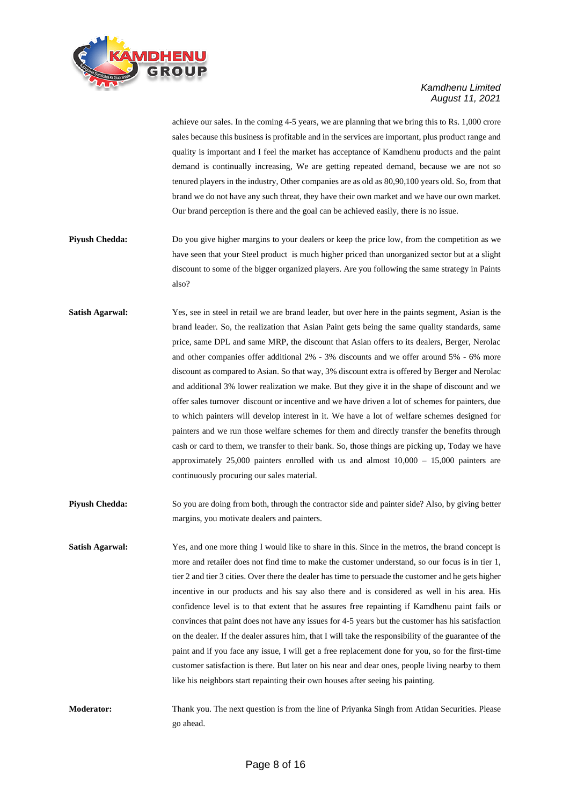

achieve our sales. In the coming 4-5 years, we are planning that we bring this to Rs. 1,000 crore sales because this business is profitable and in the services are important, plus product range and quality is important and I feel the market has acceptance of Kamdhenu products and the paint demand is continually increasing, We are getting repeated demand, because we are not so tenured players in the industry, Other companies are as old as 80,90,100 years old. So, from that brand we do not have any such threat, they have their own market and we have our own market. Our brand perception is there and the goal can be achieved easily, there is no issue.

- **Piyush Chedda:** Do you give higher margins to your dealers or keep the price low, from the competition as we have seen that your Steel product is much higher priced than unorganized sector but at a slight discount to some of the bigger organized players. Are you following the same strategy in Paints also?
- **Satish Agarwal:** Yes, see in steel in retail we are brand leader, but over here in the paints segment, Asian is the brand leader. So, the realization that Asian Paint gets being the same quality standards, same price, same DPL and same MRP, the discount that Asian offers to its dealers, Berger, Nerolac and other companies offer additional 2% - 3% discounts and we offer around 5% - 6% more discount as compared to Asian. So that way, 3% discount extra is offered by Berger and Nerolac and additional 3% lower realization we make. But they give it in the shape of discount and we offer sales turnover discount or incentive and we have driven a lot of schemes for painters, due to which painters will develop interest in it. We have a lot of welfare schemes designed for painters and we run those welfare schemes for them and directly transfer the benefits through cash or card to them, we transfer to their bank. So, those things are picking up, Today we have approximately 25,000 painters enrolled with us and almost 10,000 – 15,000 painters are continuously procuring our sales material.
- **Piyush Chedda:** So you are doing from both, through the contractor side and painter side? Also, by giving better margins, you motivate dealers and painters.
- **Satish Agarwal:** Yes, and one more thing I would like to share in this. Since in the metros, the brand concept is more and retailer does not find time to make the customer understand, so our focus is in tier 1, tier 2 and tier 3 cities. Over there the dealer has time to persuade the customer and he gets higher incentive in our products and his say also there and is considered as well in his area. His confidence level is to that extent that he assures free repainting if Kamdhenu paint fails or convinces that paint does not have any issues for 4-5 years but the customer has his satisfaction on the dealer. If the dealer assures him, that I will take the responsibility of the guarantee of the paint and if you face any issue, I will get a free replacement done for you, so for the first-time customer satisfaction is there. But later on his near and dear ones, people living nearby to them like his neighbors start repainting their own houses after seeing his painting.
- **Moderator:** Thank you. The next question is from the line of Priyanka Singh from Atidan Securities. Please go ahead.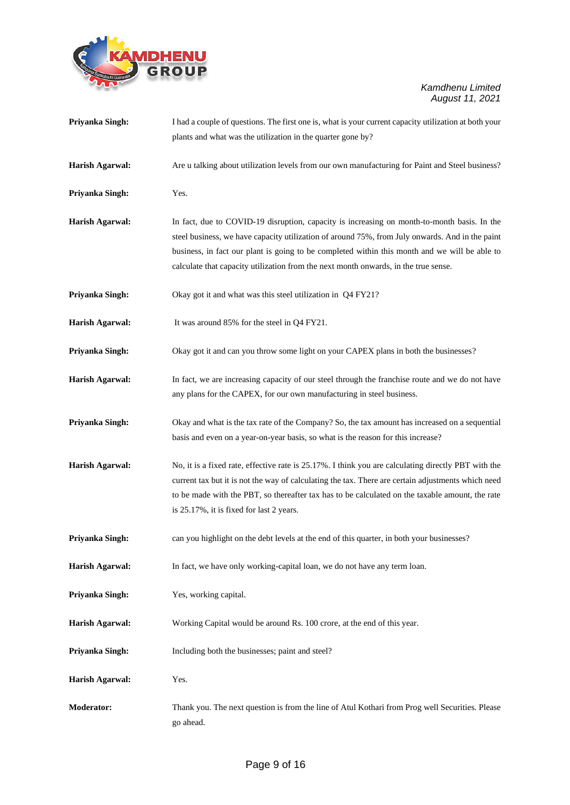

| Priyanka Singh:        | I had a couple of questions. The first one is, what is your current capacity utilization at both your<br>plants and what was the utilization in the quarter gone by?                                                                                                                                                                                                                   |
|------------------------|----------------------------------------------------------------------------------------------------------------------------------------------------------------------------------------------------------------------------------------------------------------------------------------------------------------------------------------------------------------------------------------|
| <b>Harish Agarwal:</b> | Are u talking about utilization levels from our own manufacturing for Paint and Steel business?                                                                                                                                                                                                                                                                                        |
| Priyanka Singh:        | Yes.                                                                                                                                                                                                                                                                                                                                                                                   |
| <b>Harish Agarwal:</b> | In fact, due to COVID-19 disruption, capacity is increasing on month-to-month basis. In the<br>steel business, we have capacity utilization of around 75%, from July onwards. And in the paint<br>business, in fact our plant is going to be completed within this month and we will be able to<br>calculate that capacity utilization from the next month onwards, in the true sense. |
| Priyanka Singh:        | Okay got it and what was this steel utilization in Q4 FY21?                                                                                                                                                                                                                                                                                                                            |
| <b>Harish Agarwal:</b> | It was around 85% for the steel in Q4 FY21.                                                                                                                                                                                                                                                                                                                                            |
| Priyanka Singh:        | Okay got it and can you throw some light on your CAPEX plans in both the businesses?                                                                                                                                                                                                                                                                                                   |
| <b>Harish Agarwal:</b> | In fact, we are increasing capacity of our steel through the franchise route and we do not have<br>any plans for the CAPEX, for our own manufacturing in steel business.                                                                                                                                                                                                               |
| Priyanka Singh:        | Okay and what is the tax rate of the Company? So, the tax amount has increased on a sequential<br>basis and even on a year-on-year basis, so what is the reason for this increase?                                                                                                                                                                                                     |
| <b>Harish Agarwal:</b> | No, it is a fixed rate, effective rate is 25.17%. I think you are calculating directly PBT with the<br>current tax but it is not the way of calculating the tax. There are certain adjustments which need<br>to be made with the PBT, so thereafter tax has to be calculated on the taxable amount, the rate<br>is 25.17%, it is fixed for last 2 years.                               |
| Priyanka Singh:        | can you highlight on the debt levels at the end of this quarter, in both your businesses?                                                                                                                                                                                                                                                                                              |
| <b>Harish Agarwal:</b> | In fact, we have only working-capital loan, we do not have any term loan.                                                                                                                                                                                                                                                                                                              |
| Priyanka Singh:        | Yes, working capital.                                                                                                                                                                                                                                                                                                                                                                  |
| <b>Harish Agarwal:</b> | Working Capital would be around Rs. 100 crore, at the end of this year.                                                                                                                                                                                                                                                                                                                |
| Priyanka Singh:        | Including both the businesses; paint and steel?                                                                                                                                                                                                                                                                                                                                        |
| <b>Harish Agarwal:</b> | Yes.                                                                                                                                                                                                                                                                                                                                                                                   |
| Moderator:             | Thank you. The next question is from the line of Atul Kothari from Prog well Securities. Please<br>go ahead.                                                                                                                                                                                                                                                                           |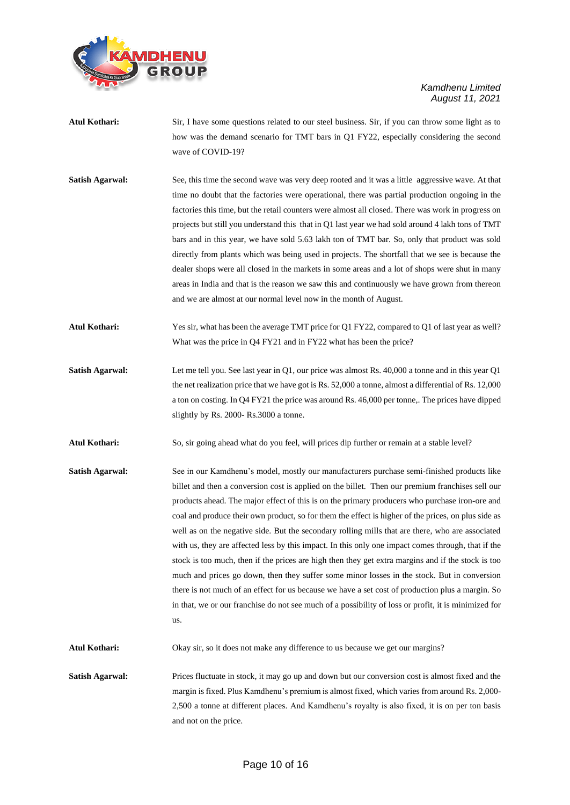

- **Atul Kothari:** Sir, I have some questions related to our steel business. Sir, if you can throw some light as to how was the demand scenario for TMT bars in Q1 FY22, especially considering the second wave of COVID-19?
- **Satish Agarwal:** See, this time the second wave was very deep rooted and it was a little aggressive wave. At that time no doubt that the factories were operational, there was partial production ongoing in the factories this time, but the retail counters were almost all closed. There was work in progress on projects but still you understand this that in Q1 last year we had sold around 4 lakh tons of TMT bars and in this year, we have sold 5.63 lakh ton of TMT bar. So, only that product was sold directly from plants which was being used in projects. The shortfall that we see is because the dealer shops were all closed in the markets in some areas and a lot of shops were shut in many areas in India and that is the reason we saw this and continuously we have grown from thereon and we are almost at our normal level now in the month of August.
- **Atul Kothari:** Yes sir, what has been the average TMT price for Q1 FY22, compared to Q1 of last year as well? What was the price in Q4 FY21 and in FY22 what has been the price?
- **Satish Agarwal:** Let me tell you. See last year in Q1, our price was almost Rs. 40,000 a tonne and in this year Q1 the net realization price that we have got is Rs. 52,000 a tonne, almost a differential of Rs. 12,000 a ton on costing. In Q4 FY21 the price was around Rs. 46,000 per tonne,. The prices have dipped slightly by Rs. 2000- Rs.3000 a tonne.
- **Atul Kothari:** So, sir going ahead what do you feel, will prices dip further or remain at a stable level?
- **Satish Agarwal:** See in our Kamdhenu's model, mostly our manufacturers purchase semi-finished products like billet and then a conversion cost is applied on the billet. Then our premium franchises sell our products ahead. The major effect of this is on the primary producers who purchase iron-ore and coal and produce their own product, so for them the effect is higher of the prices, on plus side as well as on the negative side. But the secondary rolling mills that are there, who are associated with us, they are affected less by this impact. In this only one impact comes through, that if the stock is too much, then if the prices are high then they get extra margins and if the stock is too much and prices go down, then they suffer some minor losses in the stock. But in conversion there is not much of an effect for us because we have a set cost of production plus a margin. So in that, we or our franchise do not see much of a possibility of loss or profit, it is minimized for us.

**Atul Kothari:** Okay sir, so it does not make any difference to us because we get our margins?

**Satish Agarwal:** Prices fluctuate in stock, it may go up and down but our conversion cost is almost fixed and the margin is fixed. Plus Kamdhenu's premium is almost fixed, which varies from around Rs. 2,000- 2,500 a tonne at different places. And Kamdhenu's royalty is also fixed, it is on per ton basis and not on the price.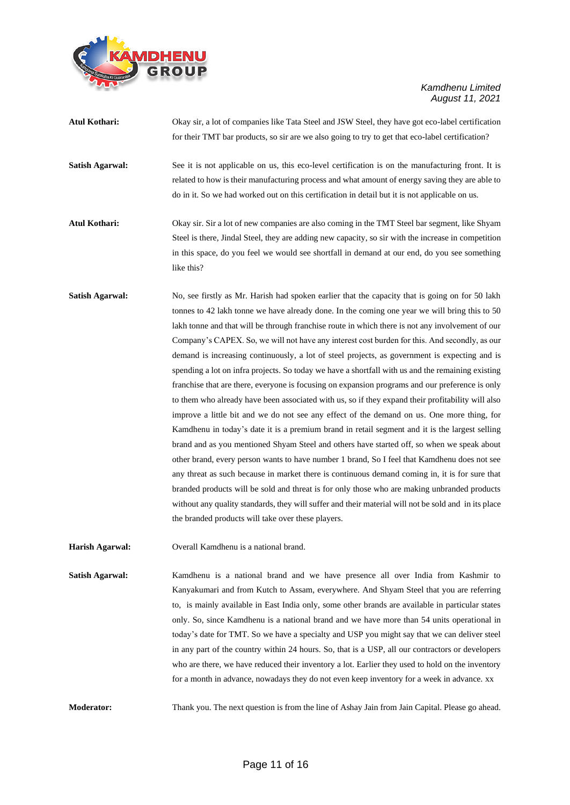

| <b>Atul Kothari:</b>   | Okay sir, a lot of companies like Tata Steel and JSW Steel, they have got eco-label certification<br>for their TMT bar products, so sir are we also going to try to get that eco-label certification?                                                                                                                                                                                                                                                                                                                                                                                                                                                                                                                                                                                                                                                                                                                                                                                                                                                                                                                                                                                                                                                                                                                                                                                                                                                                                                                                                                             |
|------------------------|-----------------------------------------------------------------------------------------------------------------------------------------------------------------------------------------------------------------------------------------------------------------------------------------------------------------------------------------------------------------------------------------------------------------------------------------------------------------------------------------------------------------------------------------------------------------------------------------------------------------------------------------------------------------------------------------------------------------------------------------------------------------------------------------------------------------------------------------------------------------------------------------------------------------------------------------------------------------------------------------------------------------------------------------------------------------------------------------------------------------------------------------------------------------------------------------------------------------------------------------------------------------------------------------------------------------------------------------------------------------------------------------------------------------------------------------------------------------------------------------------------------------------------------------------------------------------------------|
| <b>Satish Agarwal:</b> | See it is not applicable on us, this eco-level certification is on the manufacturing front. It is<br>related to how is their manufacturing process and what amount of energy saving they are able to<br>do in it. So we had worked out on this certification in detail but it is not applicable on us.                                                                                                                                                                                                                                                                                                                                                                                                                                                                                                                                                                                                                                                                                                                                                                                                                                                                                                                                                                                                                                                                                                                                                                                                                                                                            |
| <b>Atul Kothari:</b>   | Okay sir. Sir a lot of new companies are also coming in the TMT Steel bar segment, like Shyam<br>Steel is there, Jindal Steel, they are adding new capacity, so sir with the increase in competition<br>in this space, do you feel we would see shortfall in demand at our end, do you see something<br>like this?                                                                                                                                                                                                                                                                                                                                                                                                                                                                                                                                                                                                                                                                                                                                                                                                                                                                                                                                                                                                                                                                                                                                                                                                                                                                |
| <b>Satish Agarwal:</b> | No, see firstly as Mr. Harish had spoken earlier that the capacity that is going on for 50 lakh<br>tonnes to 42 lakh tonne we have already done. In the coming one year we will bring this to 50<br>lakh tonne and that will be through franchise route in which there is not any involvement of our<br>Company's CAPEX. So, we will not have any interest cost burden for this. And secondly, as our<br>demand is increasing continuously, a lot of steel projects, as government is expecting and is<br>spending a lot on infra projects. So today we have a shortfall with us and the remaining existing<br>franchise that are there, everyone is focusing on expansion programs and our preference is only<br>to them who already have been associated with us, so if they expand their profitability will also<br>improve a little bit and we do not see any effect of the demand on us. One more thing, for<br>Kamdhenu in today's date it is a premium brand in retail segment and it is the largest selling<br>brand and as you mentioned Shyam Steel and others have started off, so when we speak about<br>other brand, every person wants to have number 1 brand, So I feel that Kamdhenu does not see<br>any threat as such because in market there is continuous demand coming in, it is for sure that<br>branded products will be sold and threat is for only those who are making unbranded products<br>without any quality standards, they will suffer and their material will not be sold and in its place<br>the branded products will take over these players. |
| <b>Harish Agarwal:</b> | Overall Kamdhenu is a national brand.                                                                                                                                                                                                                                                                                                                                                                                                                                                                                                                                                                                                                                                                                                                                                                                                                                                                                                                                                                                                                                                                                                                                                                                                                                                                                                                                                                                                                                                                                                                                             |
| <b>Satish Agarwal:</b> | Kamdhenu is a national brand and we have presence all over India from Kashmir to<br>Kanyakumari and from Kutch to Assam, everywhere. And Shyam Steel that you are referring<br>to, is mainly available in East India only, some other brands are available in particular states                                                                                                                                                                                                                                                                                                                                                                                                                                                                                                                                                                                                                                                                                                                                                                                                                                                                                                                                                                                                                                                                                                                                                                                                                                                                                                   |

**Moderator:** Thank you. The next question is from the line of Ashay Jain from Jain Capital. Please go ahead.

only. So, since Kamdhenu is a national brand and we have more than 54 units operational in today's date for TMT. So we have a specialty and USP you might say that we can deliver steel in any part of the country within 24 hours. So, that is a USP, all our contractors or developers who are there, we have reduced their inventory a lot. Earlier they used to hold on the inventory for a month in advance, nowadays they do not even keep inventory for a week in advance. xx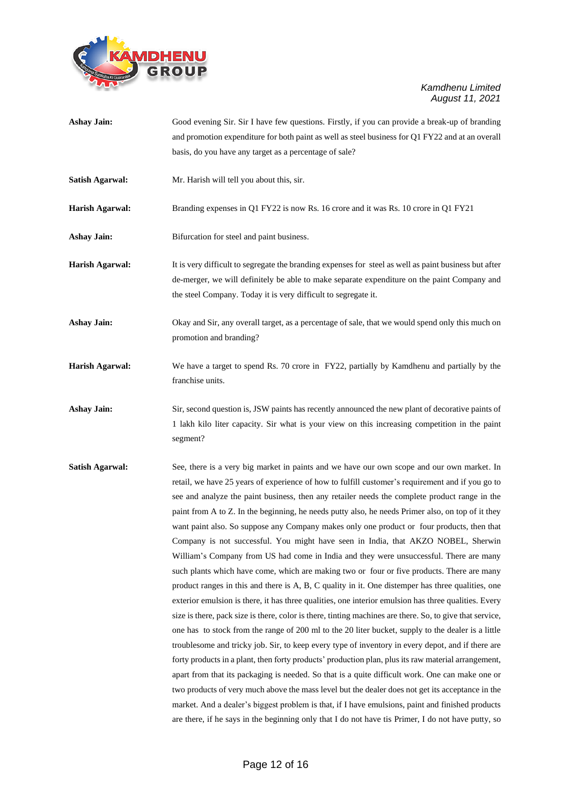

- **Ashay Jain:** Good evening Sir. Sir I have few questions. Firstly, if you can provide a break-up of branding and promotion expenditure for both paint as well as steel business for Q1 FY22 and at an overall basis, do you have any target as a percentage of sale?
- **Satish Agarwal:** Mr. Harish will tell you about this, sir.

**Harish Agarwal:** Branding expenses in Q1 FY22 is now Rs. 16 crore and it was Rs. 10 crore in Q1 FY21

Ashay Jain: Bifurcation for steel and paint business.

- **Harish Agarwal:** It is very difficult to segregate the branding expenses for steel as well as paint business but after de-merger, we will definitely be able to make separate expenditure on the paint Company and the steel Company. Today it is very difficult to segregate it.
- Ashay Jain: Okay and Sir, any overall target, as a percentage of sale, that we would spend only this much on promotion and branding?
- **Harish Agarwal:** We have a target to spend Rs. 70 crore in FY22, partially by Kamdhenu and partially by the franchise units.

Ashay Jain: Sir, second question is, JSW paints has recently announced the new plant of decorative paints of 1 lakh kilo liter capacity. Sir what is your view on this increasing competition in the paint segment?

**Satish Agarwal:** See, there is a very big market in paints and we have our own scope and our own market. In retail, we have 25 years of experience of how to fulfill customer's requirement and if you go to see and analyze the paint business, then any retailer needs the complete product range in the paint from A to Z. In the beginning, he needs putty also, he needs Primer also, on top of it they want paint also. So suppose any Company makes only one product or four products, then that Company is not successful. You might have seen in India, that AKZO NOBEL, Sherwin William's Company from US had come in India and they were unsuccessful. There are many such plants which have come, which are making two or four or five products. There are many product ranges in this and there is A, B, C quality in it. One distemper has three qualities, one exterior emulsion is there, it has three qualities, one interior emulsion has three qualities. Every size is there, pack size is there, color is there, tinting machines are there. So, to give that service, one has to stock from the range of 200 ml to the 20 liter bucket, supply to the dealer is a little troublesome and tricky job. Sir, to keep every type of inventory in every depot, and if there are forty products in a plant, then forty products' production plan, plus its raw material arrangement, apart from that its packaging is needed. So that is a quite difficult work. One can make one or two products of very much above the mass level but the dealer does not get its acceptance in the market. And a dealer's biggest problem is that, if I have emulsions, paint and finished products are there, if he says in the beginning only that I do not have tis Primer, I do not have putty, so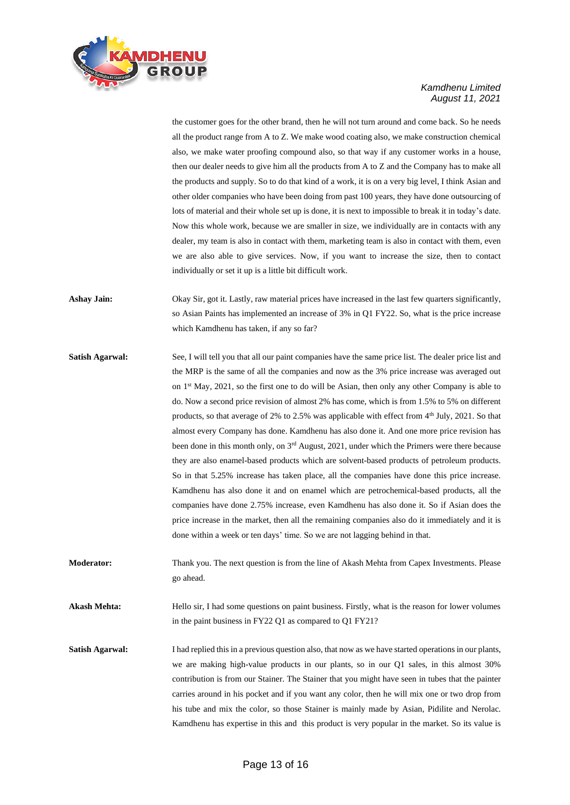

the customer goes for the other brand, then he will not turn around and come back. So he needs all the product range from A to Z. We make wood coating also, we make construction chemical also, we make water proofing compound also, so that way if any customer works in a house, then our dealer needs to give him all the products from A to Z and the Company has to make all the products and supply. So to do that kind of a work, it is on a very big level, I think Asian and other older companies who have been doing from past 100 years, they have done outsourcing of lots of material and their whole set up is done, it is next to impossible to break it in today's date. Now this whole work, because we are smaller in size, we individually are in contacts with any dealer, my team is also in contact with them, marketing team is also in contact with them, even we are also able to give services. Now, if you want to increase the size, then to contact individually or set it up is a little bit difficult work.

- **Ashay Jain:** Okay Sir, got it. Lastly, raw material prices have increased in the last few quarters significantly, so Asian Paints has implemented an increase of 3% in Q1 FY22. So, what is the price increase which Kamdhenu has taken, if any so far?
- **Satish Agarwal:** See, I will tell you that all our paint companies have the same price list. The dealer price list and the MRP is the same of all the companies and now as the 3% price increase was averaged out on  $1<sup>st</sup>$  May, 2021, so the first one to do will be Asian, then only any other Company is able to do. Now a second price revision of almost 2% has come, which is from 1.5% to 5% on different products, so that average of 2% to 2.5% was applicable with effect from 4<sup>th</sup> July, 2021. So that almost every Company has done. Kamdhenu has also done it. And one more price revision has been done in this month only, on 3<sup>rd</sup> August, 2021, under which the Primers were there because they are also enamel-based products which are solvent-based products of petroleum products. So in that 5.25% increase has taken place, all the companies have done this price increase. Kamdhenu has also done it and on enamel which are petrochemical-based products, all the companies have done 2.75% increase, even Kamdhenu has also done it. So if Asian does the price increase in the market, then all the remaining companies also do it immediately and it is done within a week or ten days' time. So we are not lagging behind in that.
- **Moderator:** Thank you. The next question is from the line of Akash Mehta from Capex Investments. Please go ahead.

**Akash Mehta:** Hello sir, I had some questions on paint business. Firstly, what is the reason for lower volumes in the paint business in FY22 Q1 as compared to Q1 FY21?

**Satish Agarwal:** I had replied this in a previous question also, that now as we have started operations in our plants, we are making high-value products in our plants, so in our Q1 sales, in this almost 30% contribution is from our Stainer. The Stainer that you might have seen in tubes that the painter carries around in his pocket and if you want any color, then he will mix one or two drop from his tube and mix the color, so those Stainer is mainly made by Asian, Pidilite and Nerolac. Kamdhenu has expertise in this and this product is very popular in the market. So its value is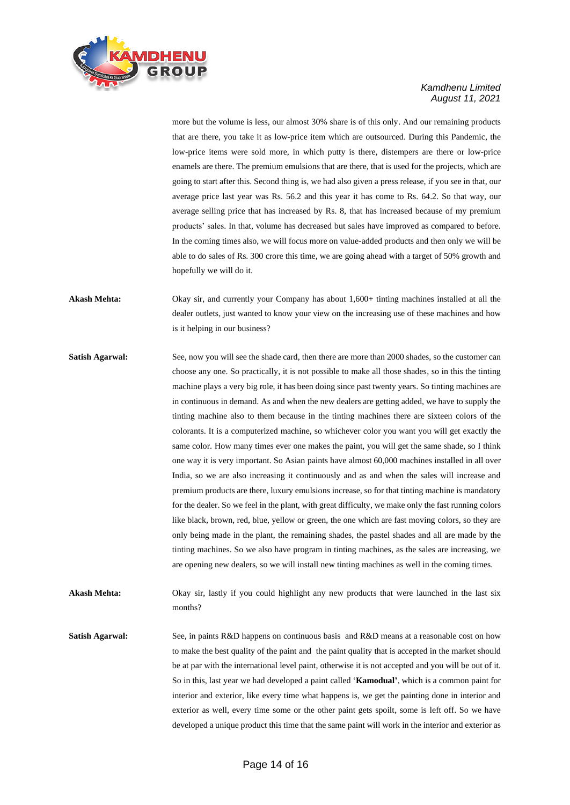

more but the volume is less, our almost 30% share is of this only. And our remaining products that are there, you take it as low-price item which are outsourced. During this Pandemic, the low-price items were sold more, in which putty is there, distempers are there or low-price enamels are there. The premium emulsions that are there, that is used for the projects, which are going to start after this. Second thing is, we had also given a press release, if you see in that, our average price last year was Rs. 56.2 and this year it has come to Rs. 64.2. So that way, our average selling price that has increased by Rs. 8, that has increased because of my premium products' sales. In that, volume has decreased but sales have improved as compared to before. In the coming times also, we will focus more on value-added products and then only we will be able to do sales of Rs. 300 crore this time, we are going ahead with a target of 50% growth and hopefully we will do it.

**Akash Mehta:** Okay sir, and currently your Company has about 1,600+ tinting machines installed at all the dealer outlets, just wanted to know your view on the increasing use of these machines and how is it helping in our business?

**Satish Agarwal:** See, now you will see the shade card, then there are more than 2000 shades, so the customer can choose any one. So practically, it is not possible to make all those shades, so in this the tinting machine plays a very big role, it has been doing since past twenty years. So tinting machines are in continuous in demand. As and when the new dealers are getting added, we have to supply the tinting machine also to them because in the tinting machines there are sixteen colors of the colorants. It is a computerized machine, so whichever color you want you will get exactly the same color. How many times ever one makes the paint, you will get the same shade, so I think one way it is very important. So Asian paints have almost 60,000 machines installed in all over India, so we are also increasing it continuously and as and when the sales will increase and premium products are there, luxury emulsions increase, so for that tinting machine is mandatory for the dealer. So we feel in the plant, with great difficulty, we make only the fast running colors like black, brown, red, blue, yellow or green, the one which are fast moving colors, so they are only being made in the plant, the remaining shades, the pastel shades and all are made by the tinting machines. So we also have program in tinting machines, as the sales are increasing, we are opening new dealers, so we will install new tinting machines as well in the coming times.

**Akash Mehta:** Okay sir, lastly if you could highlight any new products that were launched in the last six months?

**Satish Agarwal:** See, in paints R&D happens on continuous basis and R&D means at a reasonable cost on how to make the best quality of the paint and the paint quality that is accepted in the market should be at par with the international level paint, otherwise it is not accepted and you will be out of it. So in this, last year we had developed a paint called '**Kamodual'**, which is a common paint for interior and exterior, like every time what happens is, we get the painting done in interior and exterior as well, every time some or the other paint gets spoilt, some is left off. So we have developed a unique product this time that the same paint will work in the interior and exterior as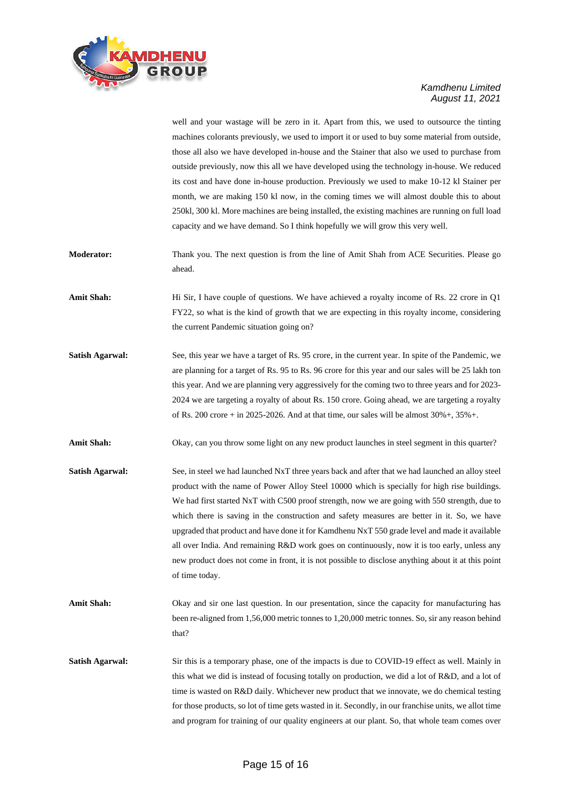

well and your wastage will be zero in it. Apart from this, we used to outsource the tinting machines colorants previously, we used to import it or used to buy some material from outside, those all also we have developed in-house and the Stainer that also we used to purchase from outside previously, now this all we have developed using the technology in-house. We reduced its cost and have done in-house production. Previously we used to make 10-12 kl Stainer per month, we are making 150 kl now, in the coming times we will almost double this to about 250kl, 300 kl. More machines are being installed, the existing machines are running on full load capacity and we have demand. So I think hopefully we will grow this very well.

- **Moderator:** Thank you. The next question is from the line of Amit Shah from ACE Securities. Please go ahead.
- Amit Shah: Hi Sir, I have couple of questions. We have achieved a royalty income of Rs. 22 crore in Q1 FY22, so what is the kind of growth that we are expecting in this royalty income, considering the current Pandemic situation going on?
- **Satish Agarwal:** See, this year we have a target of Rs. 95 crore, in the current year. In spite of the Pandemic, we are planning for a target of Rs. 95 to Rs. 96 crore for this year and our sales will be 25 lakh ton this year. And we are planning very aggressively for the coming two to three years and for 2023- 2024 we are targeting a royalty of about Rs. 150 crore. Going ahead, we are targeting a royalty of Rs. 200 crore + in 2025-2026. And at that time, our sales will be almost  $30\% +$ ,  $35\% +$ .

Amit Shah: Okay, can you throw some light on any new product launches in steel segment in this quarter?

- **Satish Agarwal:** See, in steel we had launched NxT three years back and after that we had launched an alloy steel product with the name of Power Alloy Steel 10000 which is specially for high rise buildings. We had first started NxT with C500 proof strength, now we are going with 550 strength, due to which there is saving in the construction and safety measures are better in it. So, we have upgraded that product and have done it for Kamdhenu NxT 550 grade level and made it available all over India. And remaining R&D work goes on continuously, now it is too early, unless any new product does not come in front, it is not possible to disclose anything about it at this point of time today.
- Amit Shah: Okay and sir one last question. In our presentation, since the capacity for manufacturing has been re-aligned from 1,56,000 metric tonnes to 1,20,000 metric tonnes. So, sir any reason behind that?
- **Satish Agarwal:** Sir this is a temporary phase, one of the impacts is due to COVID-19 effect as well. Mainly in this what we did is instead of focusing totally on production, we did a lot of R&D, and a lot of time is wasted on R&D daily. Whichever new product that we innovate, we do chemical testing for those products, so lot of time gets wasted in it. Secondly, in our franchise units, we allot time and program for training of our quality engineers at our plant. So, that whole team comes over